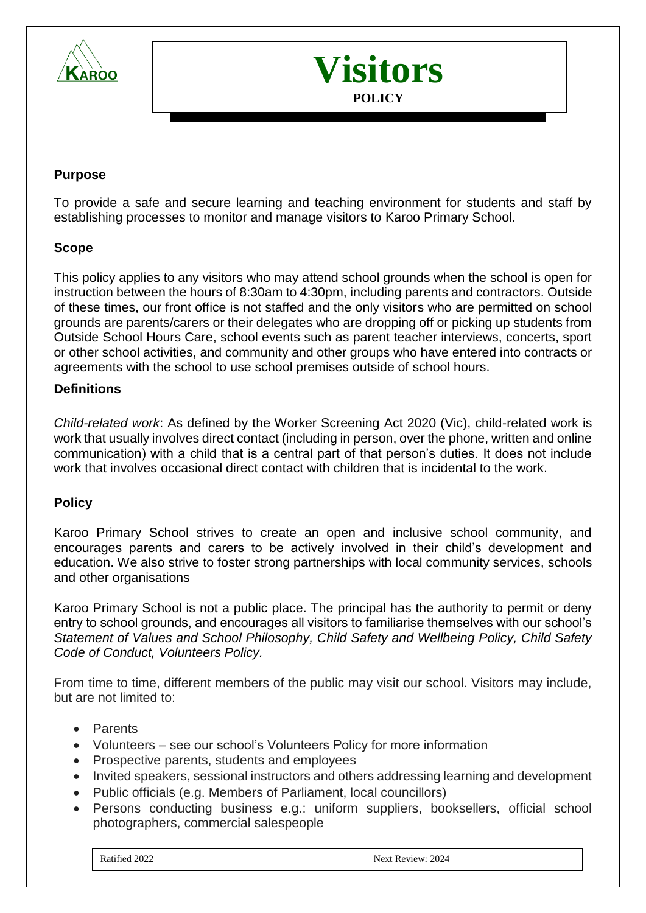



### **Purpose**

To provide a safe and secure learning and teaching environment for students and staff by establishing processes to monitor and manage visitors to Karoo Primary School.

### **Scope**

This policy applies to any visitors who may attend school grounds when the school is open for instruction between the hours of 8:30am to 4:30pm, including parents and contractors. Outside of these times, our front office is not staffed and the only visitors who are permitted on school grounds are parents/carers or their delegates who are dropping off or picking up students from Outside School Hours Care, school events such as parent teacher interviews, concerts, sport or other school activities, and community and other groups who have entered into contracts or agreements with the school to use school premises outside of school hours.

### **Definitions**

*Child-related work*: As defined by the Worker Screening Act 2020 (Vic), child-related work is work that usually involves direct contact (including in person, over the phone, written and online communication) with a child that is a central part of that person's duties. It does not include work that involves occasional direct contact with children that is incidental to the work.

### **Policy**

Karoo Primary School strives to create an open and inclusive school community, and encourages parents and carers to be actively involved in their child's development and education. We also strive to foster strong partnerships with local community services, schools and other organisations

Karoo Primary School is not a public place. The principal has the authority to permit or deny entry to school grounds, and encourages all visitors to familiarise themselves with our school's *Statement of Values and School Philosophy, Child Safety and Wellbeing Policy, Child Safety Code of Conduct, Volunteers Policy.*

From time to time, different members of the public may visit our school. Visitors may include, but are not limited to:

- Parents
- Volunteers see our school's Volunteers Policy for more information
- Prospective parents, students and employees
- Invited speakers, sessional instructors and others addressing learning and development
- Public officials (e.g. Members of Parliament, local councillors)
- Persons conducting business e.g.: uniform suppliers, booksellers, official school photographers, commercial salespeople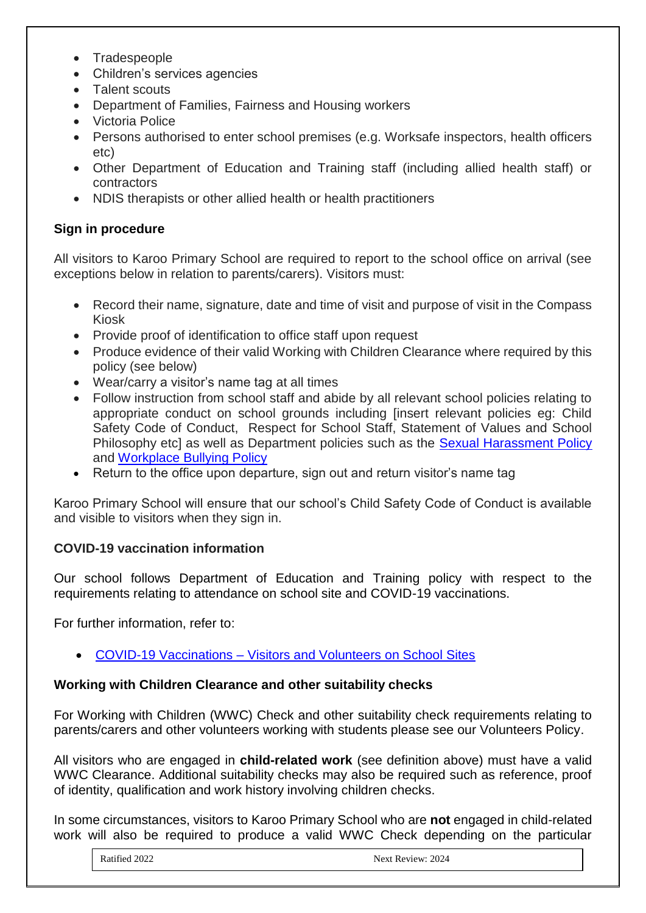- Tradespeople
- Children's services agencies
- Talent scouts
- Department of Families, Fairness and Housing workers
- Victoria Police
- Persons authorised to enter school premises (e.g. Worksafe inspectors, health officers etc)
- Other Department of Education and Training staff (including allied health staff) or contractors
- NDIS therapists or other allied health or health practitioners

# **Sign in procedure**

All visitors to Karoo Primary School are required to report to the school office on arrival (see exceptions below in relation to parents/carers). Visitors must:

- Record their name, signature, date and time of visit and purpose of visit in the Compass Kiosk
- Provide proof of identification to office staff upon request
- Produce evidence of their valid Working with Children Clearance where required by this policy (see below)
- Wear/carry a visitor's name tag at all times
- Follow instruction from school staff and abide by all relevant school policies relating to appropriate conduct on school grounds including [insert relevant policies eg: Child Safety Code of Conduct, Respect for School Staff, Statement of Values and School Philosophy etc] as well as Department policies such as the [Sexual Harassment Policy](https://www2.education.vic.gov.au/pal/sexual-harassment/overview) and [Workplace Bullying Policy](https://www2.education.vic.gov.au/pal/workplace-bullying/policy)
- Return to the office upon departure, sign out and return visitor's name tag

Karoo Primary School will ensure that our school's Child Safety Code of Conduct is available and visible to visitors when they sign in.

# **COVID-19 vaccination information**

Our school follows Department of Education and Training policy with respect to the requirements relating to attendance on school site and COVID-19 vaccinations.

For further information, refer to:

• COVID-19 Vaccinations – [Visitors and Volunteers on School Sites](https://www2.education.vic.gov.au/pal/covid-19-vaccinations-visitors-volunteers/policy)

# **Working with Children Clearance and other suitability checks**

For Working with Children (WWC) Check and other suitability check requirements relating to parents/carers and other volunteers working with students please see our Volunteers Policy.

All visitors who are engaged in **child-related work** (see definition above) must have a valid WWC Clearance. Additional suitability checks may also be required such as reference, proof of identity, qualification and work history involving children checks.

In some circumstances, visitors to Karoo Primary School who are **not** engaged in child-related work will also be required to produce a valid WWC Check depending on the particular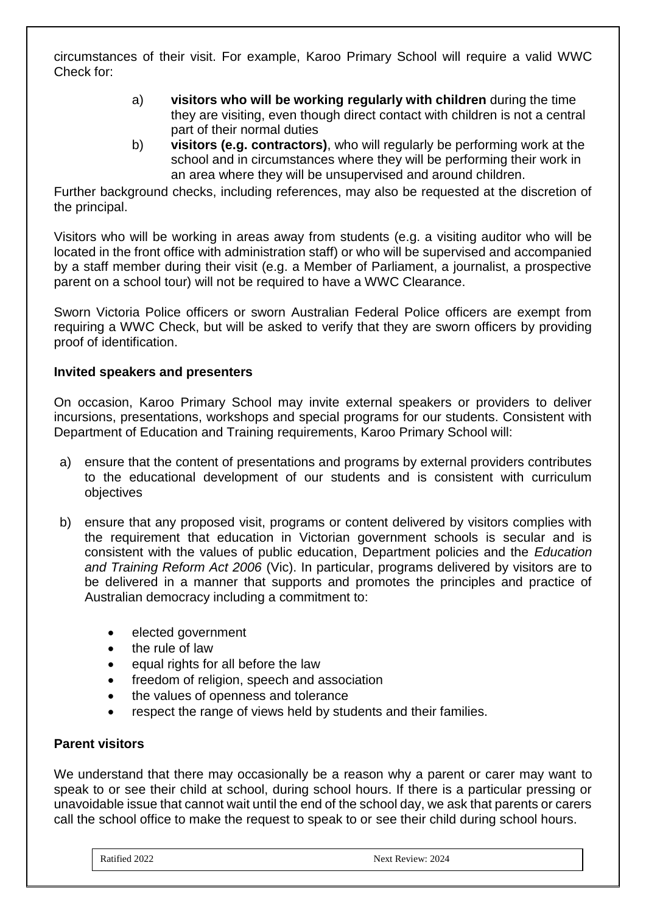circumstances of their visit. For example, Karoo Primary School will require a valid WWC Check for:

- a) **visitors who will be working regularly with children** during the time they are visiting, even though direct contact with children is not a central part of their normal duties
- b) **visitors (e.g. contractors)**, who will regularly be performing work at the school and in circumstances where they will be performing their work in an area where they will be unsupervised and around children.

Further background checks, including references, may also be requested at the discretion of the principal.

Visitors who will be working in areas away from students (e.g. a visiting auditor who will be located in the front office with administration staff) or who will be supervised and accompanied by a staff member during their visit (e.g. a Member of Parliament, a journalist, a prospective parent on a school tour) will not be required to have a WWC Clearance.

Sworn Victoria Police officers or sworn Australian Federal Police officers are exempt from requiring a WWC Check, but will be asked to verify that they are sworn officers by providing proof of identification.

# **Invited speakers and presenters**

On occasion, Karoo Primary School may invite external speakers or providers to deliver incursions, presentations, workshops and special programs for our students. Consistent with Department of Education and Training requirements, Karoo Primary School will:

- a) ensure that the content of presentations and programs by external providers contributes to the educational development of our students and is consistent with curriculum objectives
- b) ensure that any proposed visit, programs or content delivered by visitors complies with the requirement that education in Victorian government schools is secular and is consistent with the values of public education, Department policies and the *Education and Training Reform Act 2006* (Vic). In particular, programs delivered by visitors are to be delivered in a manner that supports and promotes the principles and practice of Australian democracy including a commitment to:
	- elected government
	- the rule of law
	- equal rights for all before the law
	- freedom of religion, speech and association
	- the values of openness and tolerance
	- respect the range of views held by students and their families.

### **Parent visitors**

We understand that there may occasionally be a reason why a parent or carer may want to speak to or see their child at school, during school hours. If there is a particular pressing or unavoidable issue that cannot wait until the end of the school day, we ask that parents or carers call the school office to make the request to speak to or see their child during school hours.